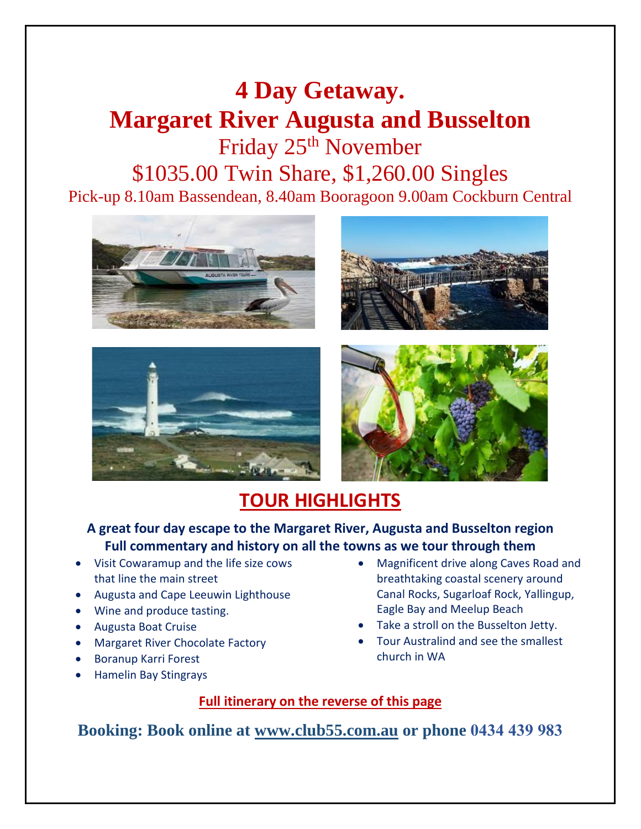# **4 Day Getaway. Margaret River Augusta and Busselton** Friday 25th November \$1035.00 Twin Share, \$1,260.00 Singles Pick-up 8.10am Bassendean, 8.40am Booragoon 9.00am Cockburn Central









## **TOUR HIGHLIGHTS**

#### **A great four day escape to the Margaret River, Augusta and Busselton region Full commentary and history on all the towns as we tour through them**

- Visit Cowaramup and the life size cows that line the main street
- Augusta and Cape Leeuwin Lighthouse
- Wine and produce tasting.
- Augusta Boat Cruise
- Margaret River Chocolate Factory
- Boranup Karri Forest
- Hamelin Bay Stingrays
- Magnificent drive along Caves Road and breathtaking coastal scenery around Canal Rocks, Sugarloaf Rock, Yallingup, Eagle Bay and Meelup Beach
- Take a stroll on the Busselton Jetty.
- Tour Australind and see the smallest church in WA

#### **Full itinerary on the reverse of this page**

**Booking: Book online at [www.club55.com.au](http://www.club55.com.au/) or phone 0434 439 983**